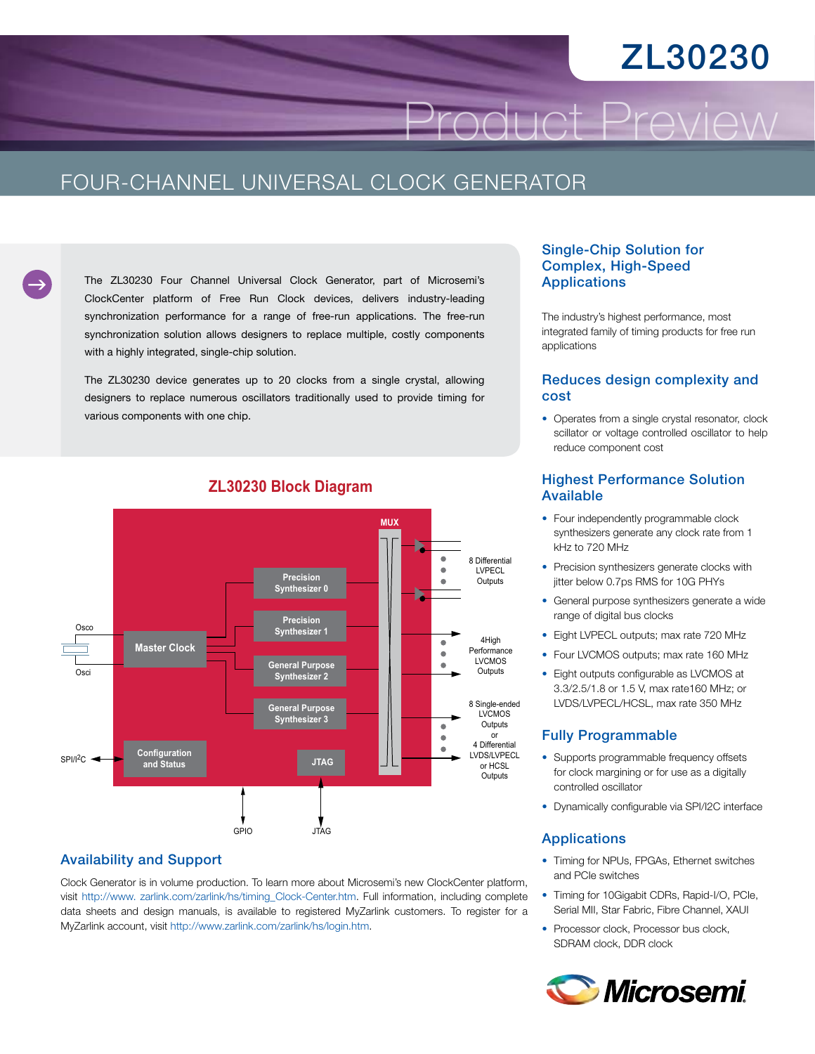# ZL30230

Product Preview

### FOUR-CHANNEL UNIVERSAL CLOCK GENERATOR

The ZL30230 Four Channel Universal Clock Generator, part of Microsemi's ClockCenter platform of Free Run Clock devices, delivers industry-leading synchronization performance for a range of free-run applications. The free-run synchronization solution allows designers to replace multiple, costly components with a highly integrated, single-chip solution.

The ZL30230 device generates up to 20 clocks from a single crystal, allowing designers to replace numerous oscillators traditionally used to provide timing for various components with one chip.



#### **ZL30230 Block Diagram**

#### Availability and Support

Clock Generator is in volume production. To learn more about Microsemi's new ClockCenter platform, visit [http://www. zarlink.com/zarlink/hs/timing\\_Clock-Center.htm.](http://www. zarlink.com/zarlink/hs/timing_Clock-Center.htm) Full information, including complete data sheets and design manuals, is available to registered MyZarlink customers. To register for a MyZarlink account, visit<http://www.zarlink.com/zarlink/hs/login.htm>.

#### Single-Chip Solution for Complex, High-Speed Applications

The industry's highest performance, most integrated family of timing products for free run applications

#### Reduces design complexity and cost

• Operates from a single crystal resonator, clock scillator or voltage controlled oscillator to help reduce component cost

#### Highest Performance Solution Available

- Four independently programmable clock synthesizers generate any clock rate from 1 kHz to 720 MHz
- Precision synthesizers generate clocks with jitter below 0.7ps RMS for 10G PHYs
- General purpose synthesizers generate a wide range of digital bus clocks
- Eight LVPECL outputs; max rate 720 MHz
- Four LVCMOS outputs; max rate 160 MHz
- Eight outputs configurable as LVCMOS at 3.3/2.5/1.8 or 1.5 V, max rate160 MHz; or LVDS/LVPECL/HCSL, max rate 350 MHz

#### Fully Programmable

- Supports programmable frequency offsets for clock margining or for use as a digitally controlled oscillator
- • Dynamically configurable via SPI/I2C interface

#### Applications

- Timing for NPUs, FPGAs, Ethernet switches and PCIe switches
- Timing for 10Gigabit CDRs, Rapid-I/O, PCIe, Serial MII, Star Fabric, Fibre Channel, XAUI
- Processor clock, Processor bus clock, SDRAM clock, DDR clock